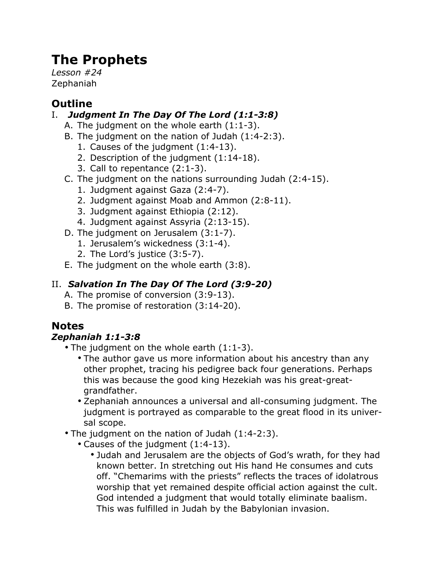# **The Prophets**

*Lesson #24* Zephaniah

# **Outline**

### I. *Judgment In The Day Of The Lord (1:1-3:8)*

- A. The judgment on the whole earth (1:1-3).
- B. The judgment on the nation of Judah (1:4-2:3).
	- 1. Causes of the judgment (1:4-13).
	- 2. Description of the judgment (1:14-18).
	- 3. Call to repentance (2:1-3).
- C. The judgment on the nations surrounding Judah (2:4-15).
	- 1. Judgment against Gaza (2:4-7).
	- 2. Judgment against Moab and Ammon (2:8-11).
	- 3. Judgment against Ethiopia (2:12).
	- 4. Judgment against Assyria (2:13-15).
- D. The judgment on Jerusalem (3:1-7).
	- 1. Jerusalem's wickedness (3:1-4).
	- 2. The Lord's justice (3:5-7).
- E. The judgment on the whole earth (3:8).

## II. *Salvation In The Day Of The Lord (3:9-20)*

- A. The promise of conversion (3:9-13).
- B. The promise of restoration (3:14-20).

# **Notes**

### *Zephaniah 1:1-3:8*

- The judgment on the whole earth (1:1-3).
	- The author gave us more information about his ancestry than any other prophet, tracing his pedigree back four generations. Perhaps this was because the good king Hezekiah was his great-greatgrandfather.
	- Zephaniah announces a universal and all-consuming judgment. The judgment is portrayed as comparable to the great flood in its universal scope.
- The judgment on the nation of Judah (1:4-2:3).
	- Causes of the judgment (1:4-13).
		- Judah and Jerusalem are the objects of God's wrath, for they had known better. In stretching out His hand He consumes and cuts off. "Chemarims with the priests" reflects the traces of idolatrous worship that yet remained despite official action against the cult. God intended a judgment that would totally eliminate baalism. This was fulfilled in Judah by the Babylonian invasion.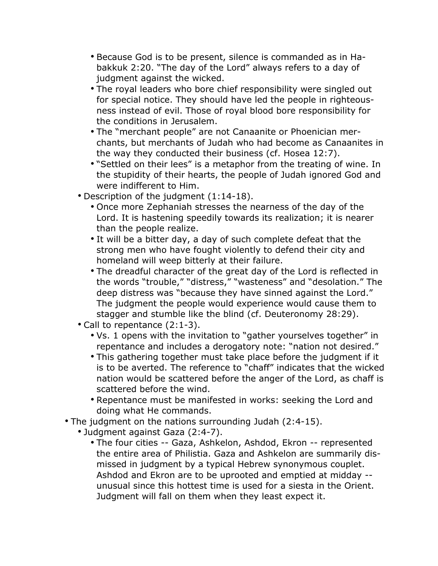- Because God is to be present, silence is commanded as in Habakkuk 2:20. "The day of the Lord" always refers to a day of judgment against the wicked.
- The royal leaders who bore chief responsibility were singled out for special notice. They should have led the people in righteousness instead of evil. Those of royal blood bore responsibility for the conditions in Jerusalem.
- The "merchant people" are not Canaanite or Phoenician merchants, but merchants of Judah who had become as Canaanites in the way they conducted their business (cf. Hosea 12:7).
- "Settled on their lees" is a metaphor from the treating of wine. In the stupidity of their hearts, the people of Judah ignored God and were indifferent to Him.
- Description of the judgment (1:14-18).
	- Once more Zephaniah stresses the nearness of the day of the Lord. It is hastening speedily towards its realization; it is nearer than the people realize.
	- It will be a bitter day, a day of such complete defeat that the strong men who have fought violently to defend their city and homeland will weep bitterly at their failure.
	- The dreadful character of the great day of the Lord is reflected in the words "trouble," "distress," "wasteness" and "desolation." The deep distress was "because they have sinned against the Lord." The judgment the people would experience would cause them to stagger and stumble like the blind (cf. Deuteronomy 28:29).
- Call to repentance (2:1-3).
	- Vs. 1 opens with the invitation to "gather yourselves together" in repentance and includes a derogatory note: "nation not desired."
	- This gathering together must take place before the judgment if it is to be averted. The reference to "chaff" indicates that the wicked nation would be scattered before the anger of the Lord, as chaff is scattered before the wind.
	- Repentance must be manifested in works: seeking the Lord and doing what He commands.
- The judgment on the nations surrounding Judah (2:4-15).
	- Judgment against Gaza (2:4-7).
		- The four cities -- Gaza, Ashkelon, Ashdod, Ekron -- represented the entire area of Philistia. Gaza and Ashkelon are summarily dismissed in judgment by a typical Hebrew synonymous couplet. Ashdod and Ekron are to be uprooted and emptied at midday - unusual since this hottest time is used for a siesta in the Orient. Judgment will fall on them when they least expect it.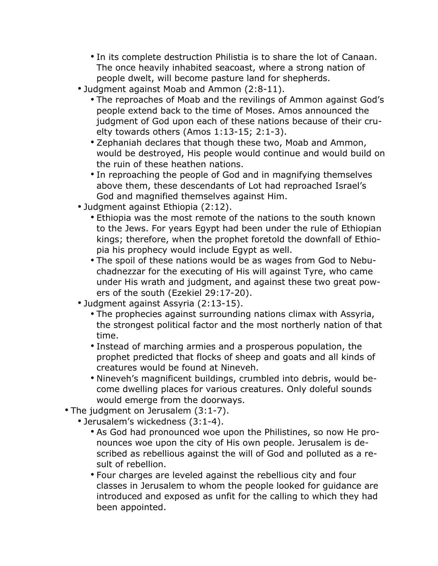- In its complete destruction Philistia is to share the lot of Canaan. The once heavily inhabited seacoast, where a strong nation of people dwelt, will become pasture land for shepherds.
- Judgment against Moab and Ammon (2:8-11).
	- The reproaches of Moab and the revilings of Ammon against God's people extend back to the time of Moses. Amos announced the judgment of God upon each of these nations because of their cruelty towards others (Amos 1:13-15; 2:1-3).
	- Zephaniah declares that though these two, Moab and Ammon, would be destroyed, His people would continue and would build on the ruin of these heathen nations.
	- In reproaching the people of God and in magnifying themselves above them, these descendants of Lot had reproached Israel's God and magnified themselves against Him.
- Judgment against Ethiopia (2:12).
	- Ethiopia was the most remote of the nations to the south known to the Jews. For years Egypt had been under the rule of Ethiopian kings; therefore, when the prophet foretold the downfall of Ethiopia his prophecy would include Egypt as well.
	- The spoil of these nations would be as wages from God to Nebuchadnezzar for the executing of His will against Tyre, who came under His wrath and judgment, and against these two great powers of the south (Ezekiel 29:17-20).
- Judgment against Assyria (2:13-15).
	- The prophecies against surrounding nations climax with Assyria, the strongest political factor and the most northerly nation of that time.
	- Instead of marching armies and a prosperous population, the prophet predicted that flocks of sheep and goats and all kinds of creatures would be found at Nineveh.
	- Nineveh's magnificent buildings, crumbled into debris, would become dwelling places for various creatures. Only doleful sounds would emerge from the doorways.
- The judgment on Jerusalem (3:1-7).
	- Jerusalem's wickedness (3:1-4).
		- As God had pronounced woe upon the Philistines, so now He pronounces woe upon the city of His own people. Jerusalem is described as rebellious against the will of God and polluted as a result of rebellion.
		- Four charges are leveled against the rebellious city and four classes in Jerusalem to whom the people looked for guidance are introduced and exposed as unfit for the calling to which they had been appointed.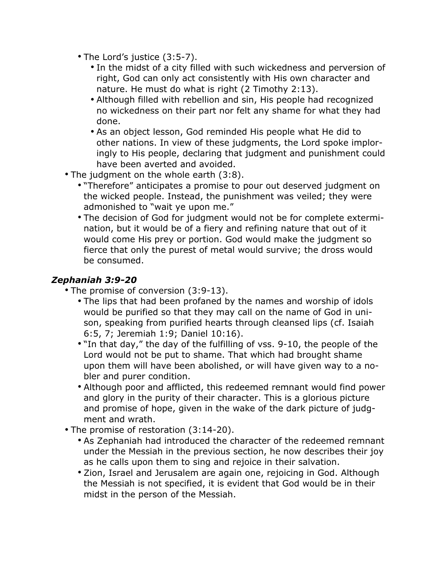- The Lord's justice (3:5-7).
	- In the midst of a city filled with such wickedness and perversion of right, God can only act consistently with His own character and nature. He must do what is right (2 Timothy 2:13).
	- Although filled with rebellion and sin, His people had recognized no wickedness on their part nor felt any shame for what they had done.
	- As an object lesson, God reminded His people what He did to other nations. In view of these judgments, the Lord spoke imploringly to His people, declaring that judgment and punishment could have been averted and avoided.
- The judgment on the whole earth (3:8).
	- "Therefore" anticipates a promise to pour out deserved judgment on the wicked people. Instead, the punishment was veiled; they were admonished to "wait ye upon me."
	- The decision of God for judgment would not be for complete extermination, but it would be of a fiery and refining nature that out of it would come His prey or portion. God would make the judgment so fierce that only the purest of metal would survive; the dross would be consumed.

#### *Zephaniah 3:9-20*

- The promise of conversion (3:9-13).
	- The lips that had been profaned by the names and worship of idols would be purified so that they may call on the name of God in unison, speaking from purified hearts through cleansed lips (cf. Isaiah 6:5, 7; Jeremiah 1:9; Daniel 10:16).
	- "In that day," the day of the fulfilling of vss. 9-10, the people of the Lord would not be put to shame. That which had brought shame upon them will have been abolished, or will have given way to a nobler and purer condition.
	- Although poor and afflicted, this redeemed remnant would find power and glory in the purity of their character. This is a glorious picture and promise of hope, given in the wake of the dark picture of judgment and wrath.
- The promise of restoration (3:14-20).
	- As Zephaniah had introduced the character of the redeemed remnant under the Messiah in the previous section, he now describes their joy as he calls upon them to sing and rejoice in their salvation.
	- Zion, Israel and Jerusalem are again one, rejoicing in God. Although the Messiah is not specified, it is evident that God would be in their midst in the person of the Messiah.